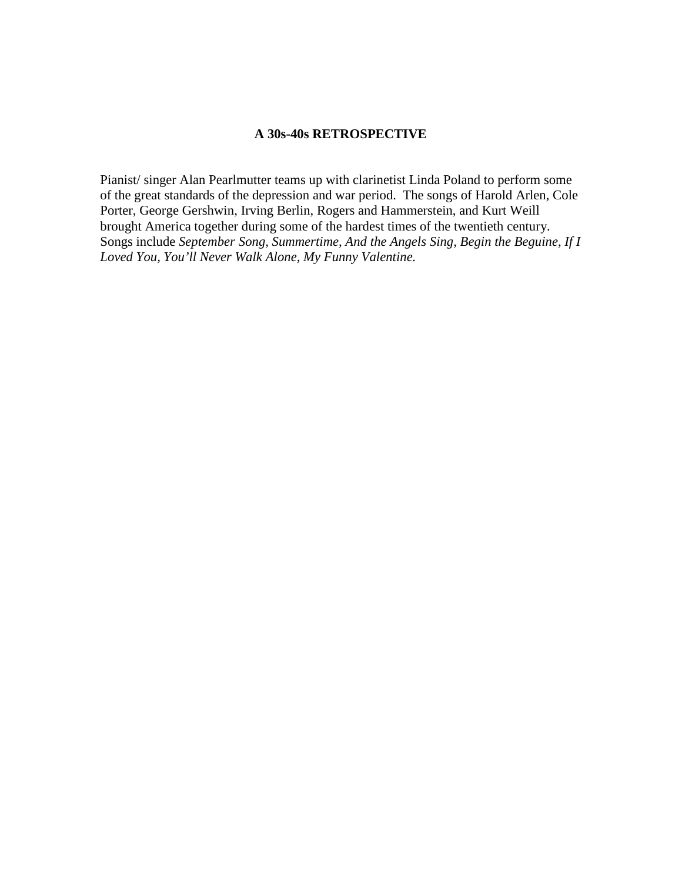## **A 30s-40s RETROSPECTIVE**

Pianist/ singer Alan Pearlmutter teams up with clarinetist Linda Poland to perform some of the great standards of the depression and war period. The songs of Harold Arlen, Cole Porter, George Gershwin, Irving Berlin, Rogers and Hammerstein, and Kurt Weill brought America together during some of the hardest times of the twentieth century. Songs include *September Song, Summertime, And the Angels Sing, Begin the Beguine, If I Loved You, You'll Never Walk Alone, My Funny Valentine.*